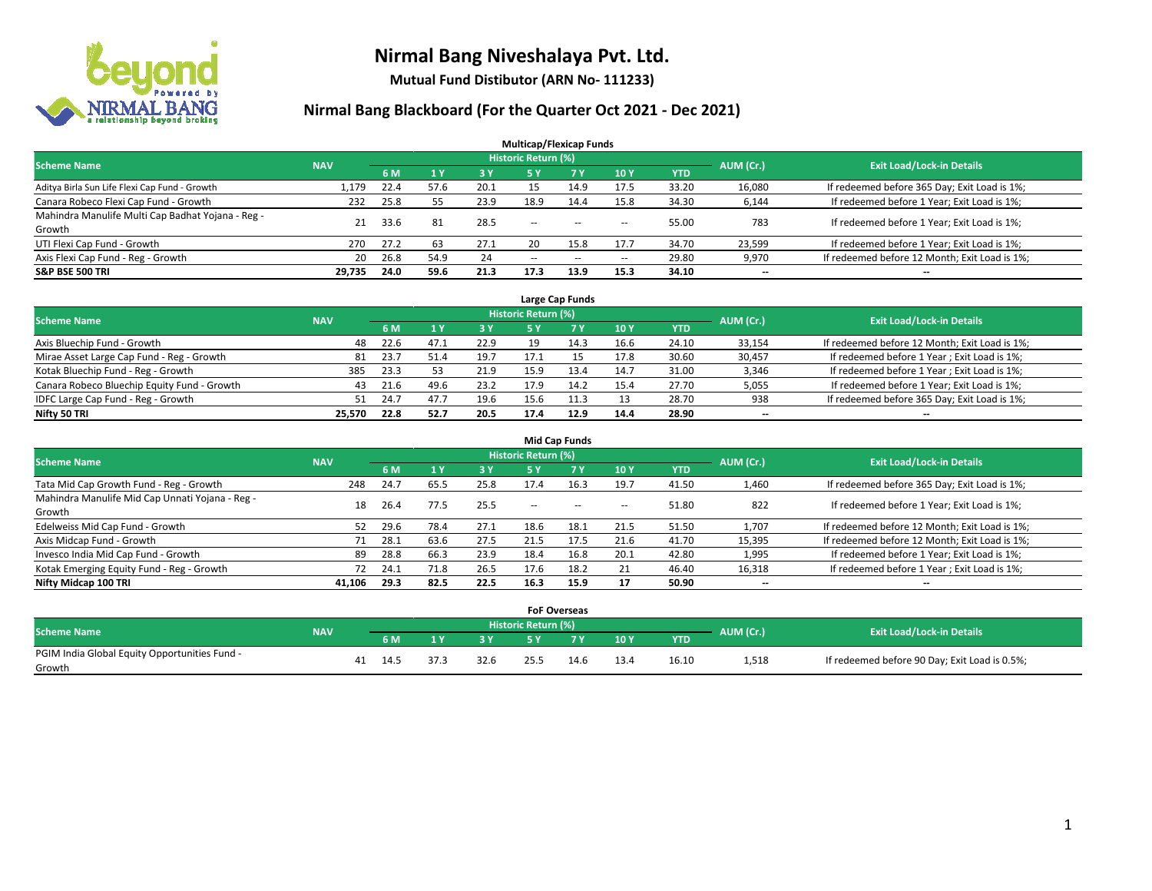

**Mutual Fund Distibutor (ARN No- 111233)**

| <b>Multicap/Flexicap Funds</b>                    |            |      |                |      |                            |       |            |            |           |                                               |  |  |  |
|---------------------------------------------------|------------|------|----------------|------|----------------------------|-------|------------|------------|-----------|-----------------------------------------------|--|--|--|
| <b>Scheme Name</b>                                | <b>NAV</b> |      |                |      | <b>Historic Return (%)</b> |       |            |            | AUM (Cr.) | <b>Exit Load/Lock-in Details</b>              |  |  |  |
|                                                   |            | 6 M  | 1 <sub>Y</sub> | 3 Y  | 75 Y.                      | 7 Y   | <b>10Y</b> | <b>YTD</b> |           |                                               |  |  |  |
| Aditya Birla Sun Life Flexi Cap Fund - Growth     | 1,179      | 22.4 | 57.6           | 20.1 | 15                         | 14.9  | 17.5       | 33.20      | 16,080    | If redeemed before 365 Day; Exit Load is 1%;  |  |  |  |
| Canara Robeco Flexi Cap Fund - Growth             | 232        | 25.8 | 55             | 23.9 | 18.9                       | 14.4  | 15.8       | 34.30      | 6,144     | If redeemed before 1 Year; Exit Load is 1%;   |  |  |  |
| Mahindra Manulife Multi Cap Badhat Yojana - Reg - | 21         | 33.6 | 81             | 28.5 | $\sim$                     |       |            | 55.00      | 783       | If redeemed before 1 Year; Exit Load is 1%;   |  |  |  |
| Growth                                            |            |      |                |      |                            | $- -$ | $\!-$      |            |           |                                               |  |  |  |
| UTI Flexi Cap Fund - Growth                       | 270        | 27.2 | 63             | 27.1 | 20                         | 15.8  | 17.7       | 34.70      | 23,599    | If redeemed before 1 Year; Exit Load is 1%;   |  |  |  |
| Axis Flexi Cap Fund - Reg - Growth                | 20         | 26.8 | 54.9           | 24   | $\sim$ $\sim$              | $-$   | $\!-$      | 29.80      | 9,970     | If redeemed before 12 Month; Exit Load is 1%; |  |  |  |
| <b>S&amp;P BSE 500 TRI</b>                        | 29.735     | 24.0 | 59.6           | 21.3 | 17.3                       | 13.9  | 15.3       | 34.10      | $- -$     | $- -$                                         |  |  |  |

| Large Cap Funds                             |            |                                  |      |      |      |      |      |            |        |                                               |  |  |  |
|---------------------------------------------|------------|----------------------------------|------|------|------|------|------|------------|--------|-----------------------------------------------|--|--|--|
| <b>Scheme Name</b>                          | AUM (Cr.)  | <b>Exit Load/Lock-in Details</b> |      |      |      |      |      |            |        |                                               |  |  |  |
|                                             | <b>NAV</b> | 6 M                              |      | 3 Y  |      | 7 Y  | 10Y  | <b>YTD</b> |        |                                               |  |  |  |
| Axis Bluechip Fund - Growth                 | 48         | 22.6                             | 47.1 | 22.9 | 19   | 14.3 | 16.6 | 24.10      | 33,154 | If redeemed before 12 Month; Exit Load is 1%; |  |  |  |
| Mirae Asset Large Cap Fund - Reg - Growth   | 81         | 23.7                             | 51.4 | 19.7 | 17.1 |      | 17.8 | 30.60      | 30,457 | If redeemed before 1 Year; Exit Load is 1%;   |  |  |  |
| Kotak Bluechip Fund - Reg - Growth          | 385        | 23.3                             |      | 21.9 | 15.9 | 13.4 | 14.7 | 31.00      | 3,346  | If redeemed before 1 Year; Exit Load is 1%;   |  |  |  |
| Canara Robeco Bluechip Equity Fund - Growth | 43         | 21.6                             | 49.6 | 23.2 |      |      | 15.4 | 27.70      | 5,055  | If redeemed before 1 Year; Exit Load is 1%;   |  |  |  |
| IDFC Large Cap Fund - Reg - Growth          | 51         | 24.7                             | 47.7 | 19.6 |      |      | 13   | 28.70      | 938    | If redeemed before 365 Day; Exit Load is 1%;  |  |  |  |
| Nifty 50 TRI                                | 25.570     | 22.8                             | 52.7 | 20.5 | 17.4 | 12.9 | 14.4 | 28.90      | $- -$  | $\overline{\phantom{a}}$                      |  |  |  |

| <b>Mid Cap Funds</b>                                      |            |      |      |      |                            |           |                          |            |           |                                               |  |  |  |
|-----------------------------------------------------------|------------|------|------|------|----------------------------|-----------|--------------------------|------------|-----------|-----------------------------------------------|--|--|--|
| <b>Scheme Name</b>                                        | <b>NAV</b> |      |      |      | <b>Historic Return (%)</b> |           |                          |            | AUM (Cr.) | <b>Exit Load/Lock-in Details</b>              |  |  |  |
|                                                           |            | 6 M  |      | 3 Y  | 5 Y                        | <b>7Y</b> | 10Y                      | <b>YTD</b> |           |                                               |  |  |  |
| Tata Mid Cap Growth Fund - Reg - Growth                   | 248        | 24.7 | 65.5 | 25.8 | 17.4                       | 16.3      | 19.7                     | 41.50      | 1,460     | If redeemed before 365 Day; Exit Load is 1%;  |  |  |  |
| Mahindra Manulife Mid Cap Unnati Yojana - Reg -<br>Growth | 18         | 26.4 | 77.5 | 25.5 | $-$                        | $-$       | $\overline{\phantom{a}}$ | 51.80      | 822       | If redeemed before 1 Year; Exit Load is 1%;   |  |  |  |
| Edelweiss Mid Cap Fund - Growth                           | 52         | 29.6 | 78.4 | 27.1 | 18.6                       | 18.1      | 21.5                     | 51.50      | 1,707     | If redeemed before 12 Month; Exit Load is 1%; |  |  |  |
| Axis Midcap Fund - Growth                                 |            | 28.1 | 63.6 | 27.5 | 21.5                       | 17.5      | 21.6                     | 41.70      | 15,395    | If redeemed before 12 Month; Exit Load is 1%; |  |  |  |
| Invesco India Mid Cap Fund - Growth                       | -89        | 28.8 | 66.3 | 23.9 | 18.4                       | 16.8      | 20.1                     | 42.80      | 1,995     | If redeemed before 1 Year; Exit Load is 1%;   |  |  |  |
| Kotak Emerging Equity Fund - Reg - Growth                 |            | 24.1 | 71.8 | 26.5 | 17.6                       | 18.2      | 21                       | 46.40      | 16,318    | If redeemed before 1 Year; Exit Load is 1%;   |  |  |  |
| Nifty Midcap 100 TRI                                      | 41.106     | 29.3 | 82.5 | 22.5 | 16.3                       | 15.9      | 17                       | 50.90      | $- -$     | $\overline{\phantom{a}}$                      |  |  |  |

|                                               |            |    |       |      |           |                     | <b>FoF Overseas</b> |      |            |           |                                               |
|-----------------------------------------------|------------|----|-------|------|-----------|---------------------|---------------------|------|------------|-----------|-----------------------------------------------|
| Scheme Name                                   | <b>NAV</b> |    |       |      |           | Historic Return (%) |                     |      |            | AUM (Cr.) | <b>Exit Load/Lock-in Details</b>              |
|                                               |            |    | 6 M   | 1 V  | <b>2V</b> |                     | 'י ד                | 10Y  | <b>YTD</b> |           |                                               |
| PGIM India Global Equity Opportunities Fund - |            | 41 | -14.5 | 37.3 | 32.6      |                     | 14.6                | 13.4 | 16.10      | 1,518     | If redeemed before 90 Day; Exit Load is 0.5%; |
| Growth                                        |            |    |       |      |           | 25.5                |                     |      |            |           |                                               |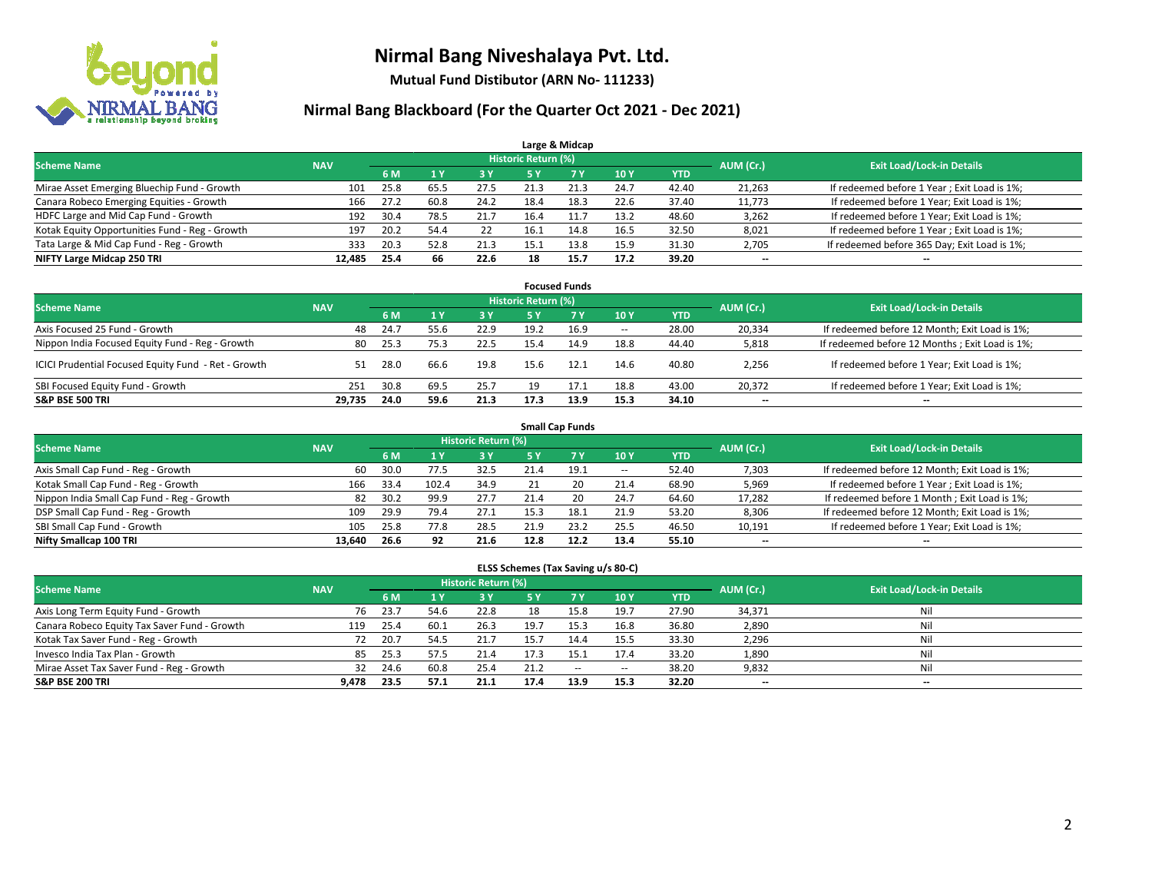

**Mutual Fund Distibutor (ARN No- 111233)**

### **Nirmal Bang Blackboard (For the Quarter Oct 2021 - Dec 2021)**

|                                                |            |      |      |      |                            | Large & Midcap |      |            |                                  |                                              |
|------------------------------------------------|------------|------|------|------|----------------------------|----------------|------|------------|----------------------------------|----------------------------------------------|
| <b>Scheme Name</b>                             | <b>NAV</b> |      |      |      | <b>Historic Return (%)</b> |                |      | AUM (Cr.)  | <b>Exit Load/Lock-in Details</b> |                                              |
|                                                |            | 6 M  |      | 3 Y  | 5 Y                        | 7 Y            | 10Y  | <b>YTD</b> |                                  |                                              |
| Mirae Asset Emerging Bluechip Fund - Growth    | 101        | 25.8 | 65.5 | 27.5 | 21.3                       | 21.3           | 24.7 | 42.40      | 21,263                           | If redeemed before 1 Year; Exit Load is 1%;  |
| Canara Robeco Emerging Equities - Growth       | 166        | 27.2 | 60.8 | 24.2 | 18.4                       | 18.3           | 22.6 | 37.40      | 11,773                           | If redeemed before 1 Year; Exit Load is 1%;  |
| HDFC Large and Mid Cap Fund - Growth           | 192        | 30.4 | 78.5 | 21.7 | 16.4                       |                | 13.2 | 48.60      | 3,262                            | If redeemed before 1 Year; Exit Load is 1%;  |
| Kotak Equity Opportunities Fund - Reg - Growth | 197        | 20.2 | 54.4 | 22   | 16.1                       | 14.8           | 16.5 | 32.50      | 8,021                            | If redeemed before 1 Year; Exit Load is 1%;  |
| Tata Large & Mid Cap Fund - Reg - Growth       | 333        | 20.3 | 52.8 | 21.3 | 15.1                       | 13.8           | 15.9 | 31.30      | 2,705                            | If redeemed before 365 Day; Exit Load is 1%; |
| NIFTY Large Midcap 250 TRI                     | 12.485     | 25.4 | 66   | 22.6 | 18                         | 15.7           | 17.2 | 39.20      | $\overline{\phantom{a}}$         | $- -$                                        |

| <b>Focused Funds</b>                                |            |      |      |           |                     |           |                          |            |                          |                                                |  |  |  |
|-----------------------------------------------------|------------|------|------|-----------|---------------------|-----------|--------------------------|------------|--------------------------|------------------------------------------------|--|--|--|
| <b>Scheme Name</b>                                  | <b>NAV</b> |      |      |           | Historic Return (%) |           |                          |            | AUM (Cr.)                | <b>Exit Load/Lock-in Details</b>               |  |  |  |
|                                                     |            | 6 M  |      | <b>3Y</b> | 5 Y                 | <b>7Y</b> | <b>10 Y</b>              | <b>YTD</b> |                          |                                                |  |  |  |
| Axis Focused 25 Fund - Growth                       | 48         | 24.7 | 55.6 | 22.9      | 19.2                | 16.9      | $\overline{\phantom{a}}$ | 28.00      | 20.334                   | If redeemed before 12 Month; Exit Load is 1%;  |  |  |  |
| Nippon India Focused Equity Fund - Reg - Growth     | 80         | 25.3 | 75.3 | 22.5      | 15.4                | 14.9      | 18.8                     | 44.40      | 5,818                    | If redeemed before 12 Months; Exit Load is 1%; |  |  |  |
| ICICI Prudential Focused Equity Fund - Ret - Growth | 51         | 28.0 | 66.6 | 19.8      | 15.6                | 12.1      | 14.6                     | 40.80      | 2,256                    | If redeemed before 1 Year; Exit Load is 1%;    |  |  |  |
| SBI Focused Equity Fund - Growth                    | 251        | 30.8 | 69.5 | 25.7      | 19                  | 17.1      | 18.8                     | 43.00      | 20.372                   | If redeemed before 1 Year; Exit Load is 1%;    |  |  |  |
| <b>S&amp;P BSE 500 TRI</b>                          | 29.735     | 24.0 | 59.6 | 21.3      | 17.3                | 13.9      | 15.3                     | 34.10      | $\overline{\phantom{a}}$ | $\hspace{0.05cm}$                              |  |  |  |

|                                            | <b>Small Cap Funds</b> |      |           |                                  |      |           |                          |            |                          |                                               |  |  |  |  |
|--------------------------------------------|------------------------|------|-----------|----------------------------------|------|-----------|--------------------------|------------|--------------------------|-----------------------------------------------|--|--|--|--|
| <b>Scheme Name</b>                         | <b>NAV</b>             |      | AUM (Cr.) | <b>Exit Load/Lock-in Details</b> |      |           |                          |            |                          |                                               |  |  |  |  |
|                                            |                        | 6 M  |           | 73 Y.                            | 5 Y  | <b>7Y</b> | <b>10Y</b>               | <b>YTD</b> |                          |                                               |  |  |  |  |
| Axis Small Cap Fund - Reg - Growth         | 60                     | 30.0 | 77.5      | 32.5                             | 21.4 | 19.1      | $\overline{\phantom{a}}$ | 52.40      | 7,303                    | If redeemed before 12 Month; Exit Load is 1%; |  |  |  |  |
| Kotak Small Cap Fund - Reg - Growth        | 166                    | 33.4 | 102.4     | 34.9                             |      | 20        | 21.4                     | 68.90      | 5,969                    | If redeemed before 1 Year; Exit Load is 1%;   |  |  |  |  |
| Nippon India Small Cap Fund - Reg - Growth | 82                     | 30.2 | 99.9      | 27.7                             | 21.4 | 20        | 24.7                     | 64.60      | 17,282                   | If redeemed before 1 Month; Exit Load is 1%;  |  |  |  |  |
| DSP Small Cap Fund - Reg - Growth          | 109                    | 29.9 | 79.4      | 27.1                             | 15.3 | 18.1      | 21.9                     | 53.20      | 8,306                    | If redeemed before 12 Month; Exit Load is 1%; |  |  |  |  |
| SBI Small Cap Fund - Growth                | 105                    | 25.8 | 77.8      | 28.5                             | 21.9 | 23.2      | 25.5                     | 46.50      | 10,191                   | If redeemed before 1 Year; Exit Load is 1%;   |  |  |  |  |
| Nifty Smallcap 100 TRI                     | 13.640                 | 26.6 | 92        | 21.6                             | 12.8 | 12.2      | 13.4                     | 55.10      | $\overline{\phantom{m}}$ | $- -$                                         |  |  |  |  |

#### **ELSS Schemes (Tax Saving u/s 80-C)**

| <b>Scheme Name</b>                           | <b>NAV</b> |      |      | Historic Return (%) |           |           |                          |            | AUM (Cr.) | <b>Exit Load/Lock-in Details</b> |
|----------------------------------------------|------------|------|------|---------------------|-----------|-----------|--------------------------|------------|-----------|----------------------------------|
|                                              |            | 6 M  |      | <b>3Y</b>           | <b>5Y</b> | <b>7Y</b> | <b>10Y</b>               | <b>YTD</b> |           |                                  |
| Axis Long Term Equity Fund - Growth          | 76         | 23.7 | 54.6 | 22.8                | 18        | 15.8      | 19.7                     | 27.90      | 34,371    | Nil                              |
| Canara Robeco Equity Tax Saver Fund - Growth | 119        | 25.4 | 60.1 | 26.3                | 19.7      | 15.3      | 16.8                     | 36.80      | 2,890     | Nil                              |
| Kotak Tax Saver Fund - Reg - Growth          | 72         | 20.7 | 54.5 | 21.7                | 15.7      | 14.4      | 15.5                     | 33.30      | 2,296     | Nil                              |
| Invesco India Tax Plan - Growth              | 85         | 25.3 | 57.5 | 21.4                | 17.3      | 15.1      | 17.4                     | 33.20      | 1,890     | Nil                              |
| Mirae Asset Tax Saver Fund - Reg - Growth    | 32         | 24.6 | 60.8 | 25.4                | 21.2      | $\sim$    | $\overline{\phantom{a}}$ | 38.20      | 9,832     | Nil                              |
| <b>S&amp;P BSE 200 TRI</b>                   | 9.478      | 23.5 | 57.1 | 21.1                | 17.4      | 13.9      | 15.3                     | 32.20      | $- -$     | --                               |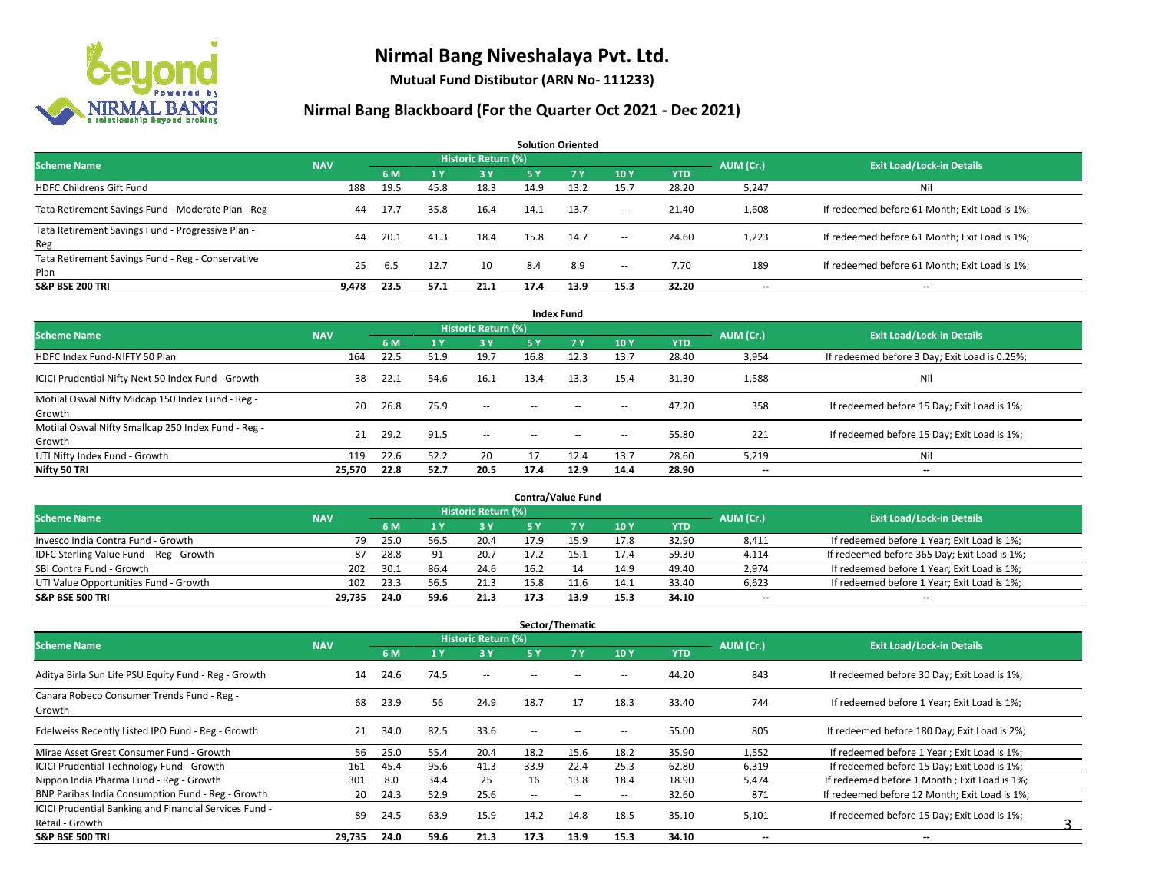

**Mutual Fund Distibutor (ARN No- 111233)**

| <b>Solution Oriented</b>                                  |            |      |      |                     |      |           |        |            |                          |                                               |  |  |  |
|-----------------------------------------------------------|------------|------|------|---------------------|------|-----------|--------|------------|--------------------------|-----------------------------------------------|--|--|--|
| <b>Scheme Name</b>                                        | <b>NAV</b> |      |      | Historic Return (%) |      |           |        |            | AUM (Cr.)                | <b>Exit Load/Lock-in Details</b>              |  |  |  |
|                                                           |            | 6 M  |      | 3 Y                 | 5 Y  | <b>7Y</b> | 10Y    | <b>YTD</b> |                          |                                               |  |  |  |
| <b>HDFC Childrens Gift Fund</b>                           | 188        | 19.5 | 45.8 | 18.3                | 14.9 | 13.2      | 15.7   | 28.20      | 5,247                    | Ni                                            |  |  |  |
| Tata Retirement Savings Fund - Moderate Plan - Reg        | 44         | 17.7 | 35.8 | 16.4                | 14.1 | 13.7      | $\sim$ | 21.40      | 1,608                    | If redeemed before 61 Month; Exit Load is 1%; |  |  |  |
| Tata Retirement Savings Fund - Progressive Plan -<br>Reg  | 44         | 20.1 | 41.3 | 18.4                | 15.8 | 14.7      | $\sim$ | 24.60      | 1,223                    | If redeemed before 61 Month; Exit Load is 1%; |  |  |  |
| Tata Retirement Savings Fund - Reg - Conservative<br>Plan | 25         | 6.5  | 12.7 | 10                  | 8.4  | 8.9       | $\sim$ | 7.70       | 189                      | If redeemed before 61 Month; Exit Load is 1%; |  |  |  |
| <b>S&amp;P BSE 200 TRI</b>                                | 9.478      | 23.5 | 57.1 | 21.1                | 17.4 | 13.9      | 15.3   | 32.20      | $\overline{\phantom{a}}$ | $-$                                           |  |  |  |

| <b>Index Fund</b>                                             |            |      |      |                            |        |      |                          |            |           |                                               |  |  |  |
|---------------------------------------------------------------|------------|------|------|----------------------------|--------|------|--------------------------|------------|-----------|-----------------------------------------------|--|--|--|
| <b>Scheme Name</b>                                            | <b>NAV</b> |      |      | <b>Historic Return (%)</b> |        |      |                          |            | AUM (Cr.) | <b>Exit Load/Lock-in Details</b>              |  |  |  |
|                                                               |            | 6 M  | 1 Y  | <b>3 Y</b>                 | 5 Y    | 7Y   | 10Y                      | <b>YTD</b> |           |                                               |  |  |  |
| HDFC Index Fund-NIFTY 50 Plan                                 | 164        | 22.5 | 51.9 | 19.7                       | 16.8   | 12.3 | 13.7                     | 28.40      | 3,954     | If redeemed before 3 Day; Exit Load is 0.25%; |  |  |  |
| ICICI Prudential Nifty Next 50 Index Fund - Growth            | 38         | 22.1 | 54.6 | 16.1                       | 13.4   | 13.3 | 15.4                     | 31.30      | 1,588     | Nil                                           |  |  |  |
| Motilal Oswal Nifty Midcap 150 Index Fund - Reg -<br>Growth   | 20         | 26.8 | 75.9 | $\sim$                     | $\sim$ | $-$  | $\overline{\phantom{a}}$ | 47.20      | 358       | If redeemed before 15 Day; Exit Load is 1%;   |  |  |  |
| Motilal Oswal Nifty Smallcap 250 Index Fund - Reg -<br>Growth | 21         | 29.2 | 91.5 | $\overline{\phantom{a}}$   | $\sim$ | $-$  | $\overline{\phantom{a}}$ | 55.80      | 221       | If redeemed before 15 Day; Exit Load is 1%;   |  |  |  |
| UTI Nifty Index Fund - Growth                                 | 119        | 22.6 | 52.2 | 20                         | 17     | 12.4 | 13.7                     | 28.60      | 5,219     | Nil                                           |  |  |  |
| Nifty 50 TRI                                                  | 25,570     | 22.8 | 52.7 | 20.5                       | 17.4   | 12.9 | 14.4                     | 28.90      | $- -$     | $\overline{\phantom{a}}$                      |  |  |  |

| <b>Contra/Value Fund</b>                |            |      |                |                     |      |      |      |       |           |                                              |  |  |  |
|-----------------------------------------|------------|------|----------------|---------------------|------|------|------|-------|-----------|----------------------------------------------|--|--|--|
| <b>Scheme Name</b>                      | <b>NAV</b> |      |                | Historic Return (%) |      |      |      |       | AUM (Cr.) | <b>Exit Load/Lock-in Details</b>             |  |  |  |
|                                         |            | 6 M  |                | 3 Y                 |      |      | 10Y  | YTD   |           |                                              |  |  |  |
| Invesco India Contra Fund - Growth      | 79         | 25.0 | 56.5           | 20.4                | 17.9 |      | 17.8 | 32.90 | 8,411     | If redeemed before 1 Year; Exit Load is 1%;  |  |  |  |
| IDFC Sterling Value Fund - Reg - Growth | 87         | 28.8 | Q <sub>1</sub> | 20.7                |      |      | 17.4 | 59.30 | 4,114     | If redeemed before 365 Day; Exit Load is 1%; |  |  |  |
| SBI Contra Fund - Growth                | 202        | 30.1 | 86.7           | 24.6                | 16.2 |      | 14.9 | 49.40 | 2,974     | If redeemed before 1 Year; Exit Load is 1%;  |  |  |  |
| UTI Value Opportunities Fund - Growth   | 102        | 23.3 | 56.5           | 21.3                | 15.8 | 11.6 | 14.1 | 33.40 | 6,623     | If redeemed before 1 Year; Exit Load is 1%;  |  |  |  |
| <b>S&amp;P BSE 500 TRI</b>              | 29.735     | 24.0 | 59.6           | 21.3                | 17.3 | 13.9 | 15.3 | 34.10 | $- -$     | $- -$                                        |  |  |  |

| Sector/Thematic                                               |            |      |                |                          |               |                          |                          |            |           |                                               |  |  |  |
|---------------------------------------------------------------|------------|------|----------------|--------------------------|---------------|--------------------------|--------------------------|------------|-----------|-----------------------------------------------|--|--|--|
| <b>Scheme Name</b>                                            | <b>NAV</b> |      |                | Historic Return (%)      |               |                          |                          |            | AUM (Cr.) | <b>Exit Load/Lock-in Details</b>              |  |  |  |
|                                                               |            | 6 M  | 1 <sup>1</sup> | 3 Y                      | 5 Y           | <b>7Y</b>                | 10Y                      | <b>YTD</b> |           |                                               |  |  |  |
| Aditya Birla Sun Life PSU Equity Fund - Reg - Growth          | 14         | 24.6 | 74.5           | $\overline{\phantom{a}}$ | --            |                          | -                        | 44.20      | 843       | If redeemed before 30 Day; Exit Load is 1%;   |  |  |  |
| Canara Robeco Consumer Trends Fund - Reg -<br>Growth          | 68         | 23.9 | 56             | 24.9                     | 18.7          | 17                       | 18.3                     | 33.40      | 744       | If redeemed before 1 Year; Exit Load is 1%;   |  |  |  |
| Edelweiss Recently Listed IPO Fund - Reg - Growth             | 21         | 34.0 | 82.5           | 33.6                     | $\sim$ $\sim$ |                          | --                       | 55.00      | 805       | If redeemed before 180 Day; Exit Load is 2%;  |  |  |  |
| Mirae Asset Great Consumer Fund - Growth                      | 56         | 25.0 | 55.4           | 20.4                     | 18.2          | 15.6                     | 18.2                     | 35.90      | 1,552     | If redeemed before 1 Year; Exit Load is 1%;   |  |  |  |
| <b>ICICI Prudential Technology Fund - Growth</b>              | 161        | 45.4 | 95.6           | 41.3                     | 33.9          | 22.4                     | 25.3                     | 62.80      | 6,319     | If redeemed before 15 Day; Exit Load is 1%;   |  |  |  |
| Nippon India Pharma Fund - Reg - Growth                       | 301        | 8.0  | 34.4           | 25                       | 16            | 13.8                     | 18.4                     | 18.90      | 5,474     | If redeemed before 1 Month; Exit Load is 1%;  |  |  |  |
| BNP Paribas India Consumption Fund - Reg - Growth             | 20         | 24.3 | 52.9           | 25.6                     | $\sim$        | $\overline{\phantom{a}}$ | $\hspace{0.05cm} \cdots$ | 32.60      | 871       | If redeemed before 12 Month: Exit Load is 1%: |  |  |  |
| <b>ICICI Prudential Banking and Financial Services Fund -</b> | 89         | 24.5 | 63.9           | 15.9                     | 14.2          |                          | 18.5                     | 35.10      |           |                                               |  |  |  |
| Retail - Growth                                               |            |      |                |                          |               | 14.8                     |                          |            | 5,101     | If redeemed before 15 Day; Exit Load is 1%;   |  |  |  |
| <b>S&amp;P BSE 500 TRI</b>                                    | 29,735     | 24.0 | 59.6           | 21.3                     | 17.3          | 13.9                     | 15.3                     | 34.10      | --        | $\overline{\phantom{a}}$                      |  |  |  |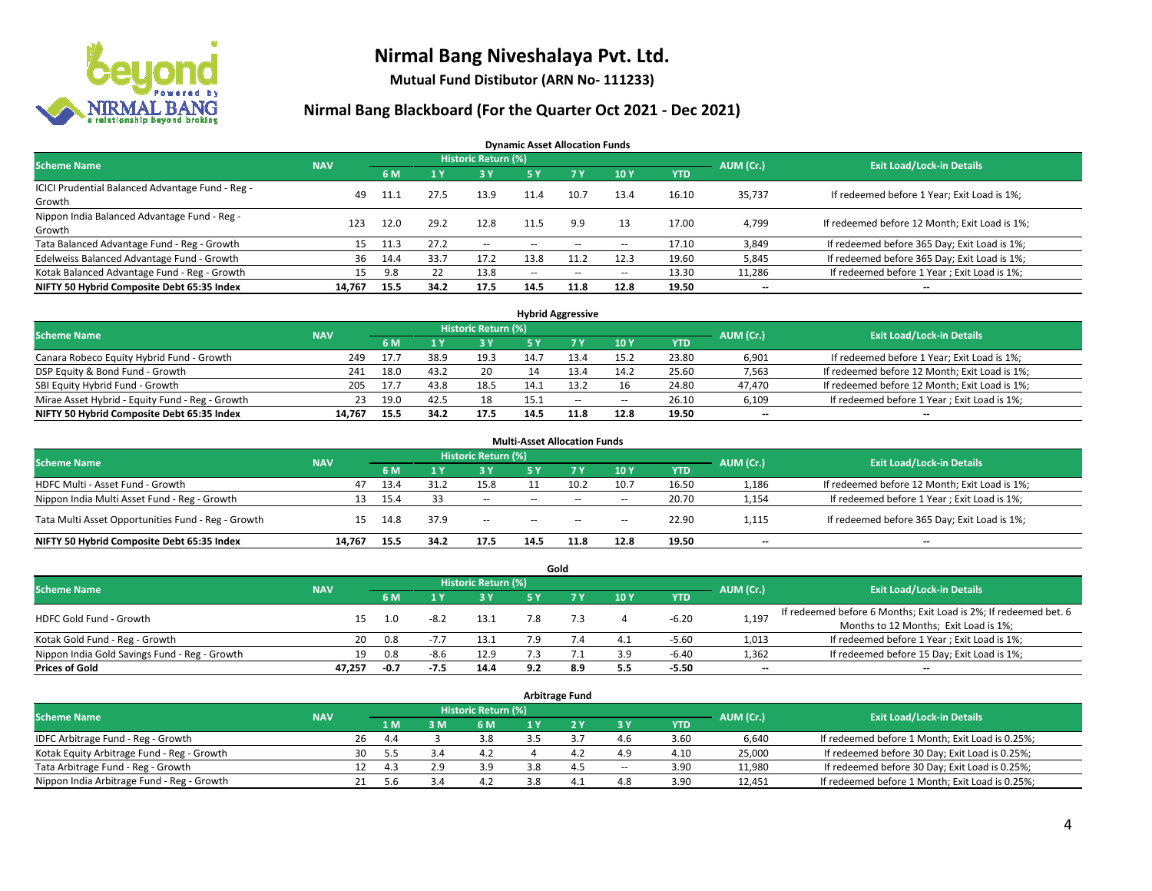

**Mutual Fund Distibutor (ARN No- 111233)**

### **Nirmal Bang Blackboard (For the Quarter Oct 2021 - Dec 2021)**

**Dynamic Asset Allocation Funds**

| <b>Scheme Name</b>                                         | <b>NAV</b> |      |      | Historic Return (%) |               |      |                          |            | AUM (Cr.) | <b>Exit Load/Lock-in Details</b>              |
|------------------------------------------------------------|------------|------|------|---------------------|---------------|------|--------------------------|------------|-----------|-----------------------------------------------|
|                                                            |            | 6 M  |      | 3 Y                 | 5 Y           |      | 10Y                      | <b>YTD</b> |           |                                               |
| ICICI Prudential Balanced Advantage Fund - Reg -<br>Growth | 49         | 11.1 | 27.5 | 13.9                |               | 10.7 | 13.4                     | 16.10      | 35,737    | If redeemed before 1 Year; Exit Load is 1%;   |
| Nippon India Balanced Advantage Fund - Reg -<br>Growth     | 123        | 12.0 | 29.2 | 12.8                |               | 9.9  | 13                       | 17.00      | 4,799     | If redeemed before 12 Month; Exit Load is 1%; |
| Tata Balanced Advantage Fund - Reg - Growth                | 15         | 11.3 | 27.2 | $\sim$              | $\sim$ $\sim$ |      | $\overline{\phantom{a}}$ | 17.10      | 3,849     | If redeemed before 365 Day; Exit Load is 1%;  |
| Edelweiss Balanced Advantage Fund - Growth                 | 36         | 14.4 | 33.7 | 17.2                | 13.8          |      | 12.3                     | 19.60      | 5,845     | If redeemed before 365 Day; Exit Load is 1%;  |
| Kotak Balanced Advantage Fund - Reg - Growth               | 15         | 9.8  |      | 13.8                | $\sim$        | $-$  | $\sim$                   | 13.30      | 11,286    | If redeemed before 1 Year; Exit Load is 1%;   |
| NIFTY 50 Hybrid Composite Debt 65:35 Index                 | 14,767     | 15.5 | 34.2 | 17.5                | 14.5          | 11.8 | 12.8                     | 19.50      | $- -$     | $\overline{\phantom{a}}$                      |

| <b>Hybrid Aggressive</b>                        |            |      |      |                            |      |        |        |            |           |                                               |  |  |  |
|-------------------------------------------------|------------|------|------|----------------------------|------|--------|--------|------------|-----------|-----------------------------------------------|--|--|--|
| <b>Scheme Name</b>                              | <b>NAV</b> |      |      | <b>Historic Return (%)</b> |      |        |        |            | AUM (Cr.) | <b>Exit Load/Lock-in Details</b>              |  |  |  |
|                                                 |            | 6 M  |      | 3 Y                        |      |        | 10Y    | <b>YTD</b> |           |                                               |  |  |  |
| Canara Robeco Equity Hybrid Fund - Growth       | 249        | 17.7 | 38.9 | 19.3                       | 14.7 | 13.4   | 15.2   | 23.80      | 6,901     | If redeemed before 1 Year; Exit Load is 1%;   |  |  |  |
| DSP Equity & Bond Fund - Growth                 | 241        | 18.0 | 43.2 | 20                         |      |        | 14.2   | 25.60      | 7,563     | If redeemed before 12 Month; Exit Load is 1%; |  |  |  |
| SBI Equity Hybrid Fund - Growth                 | 205        | 17.7 | 43.8 | 18.5                       |      |        |        | 24.80      | 47,470    | If redeemed before 12 Month; Exit Load is 1%; |  |  |  |
| Mirae Asset Hybrid - Equity Fund - Reg - Growth | 23         | 19.0 | 42.5 | 18                         | 15.1 | $\sim$ | $\sim$ | 26.10      | 6,109     | If redeemed before 1 Year; Exit Load is 1%;   |  |  |  |
| NIFTY 50 Hybrid Composite Debt 65:35 Index      | 14.767     | 15.5 | 34.2 | 17.5                       | 14.5 | 11.8   | 12.8   | 19.50      | $- -$     | $- -$                                         |  |  |  |

| <b>Multi-Asset Allocation Funds</b>                |            |      |      |                     |                          |           |      |            |                          |                                               |  |  |  |
|----------------------------------------------------|------------|------|------|---------------------|--------------------------|-----------|------|------------|--------------------------|-----------------------------------------------|--|--|--|
| <b>Scheme Name</b>                                 | <b>NAV</b> |      |      | Historic Return (%) |                          |           |      |            | AUM (Cr.)                | <b>Exit Load/Lock-in Details</b>              |  |  |  |
|                                                    |            | 6 M  |      | 3 Y                 | 5 Y                      | <b>7Y</b> | 10Y  | <b>YTD</b> |                          |                                               |  |  |  |
| HDFC Multi - Asset Fund - Growth                   | 47         | 13.4 | 31.2 | 15.8                |                          | 10.2      | 10.7 | 16.50      | 1,186                    | If redeemed before 12 Month; Exit Load is 1%; |  |  |  |
| Nippon India Multi Asset Fund - Reg - Growth       | 13         | 15.4 | 33   | --                  | $\sim$ $\sim$            | $\sim$    | $-$  | 20.70      | 1,154                    | If redeemed before 1 Year; Exit Load is 1%;   |  |  |  |
| Tata Multi Asset Opportunities Fund - Reg - Growth | 15         | 14.8 | 37.9 | $-$                 | $\overline{\phantom{a}}$ | $-$       | $-$  | 22.90      | 1,115                    | If redeemed before 365 Day; Exit Load is 1%;  |  |  |  |
| NIFTY 50 Hybrid Composite Debt 65:35 Index         | 14.767     | 15.5 | 34.2 | 17.5                | 14.5                     | 11.8      | 12.8 | 19.50      | $\overline{\phantom{a}}$ | $\overline{\phantom{a}}$                      |  |  |  |

|                                               |            |      |        |                     |     | Gold |     |            |                          |                                                                  |
|-----------------------------------------------|------------|------|--------|---------------------|-----|------|-----|------------|--------------------------|------------------------------------------------------------------|
| <b>Scheme Name</b>                            | <b>NAV</b> |      |        | Historic Return (%) |     |      |     |            | AUM (Cr.)                | <b>Exit Load/Lock-in Details</b>                                 |
|                                               |            | 6 M  |        | 3 Y                 | 5 Y |      | 10Y | <b>YTD</b> |                          |                                                                  |
| HDFC Gold Fund - Growth                       |            | 1.0  | $-8.2$ | 13.1                |     |      |     | $-6.20$    | 1,197                    | If redeemed before 6 Months; Exit Load is 2%; If redeemed bet. 6 |
|                                               |            |      |        |                     |     |      |     |            |                          | Months to 12 Months; Exit Load is 1%;                            |
| Kotak Gold Fund - Reg - Growth                | 20         | 0.8  |        | 13.1                |     |      | 4.1 | $-5.60$    | 1,013                    | If redeemed before 1 Year; Exit Load is 1%;                      |
| Nippon India Gold Savings Fund - Reg - Growth | 19         | 0.8  | $-8.6$ | 12.9                |     |      | 3.9 | -6.40      | 1,362                    | If redeemed before 15 Day; Exit Load is 1%;                      |
| <b>Prices of Gold</b>                         | 47.257     | -0.7 | -7.5   | 14.4                | 9.2 | 8.9  | 5.5 | $-5.50$    | $\overline{\phantom{a}}$ | --                                                               |

| <b>Arbitrage Fund</b>                      |            |    |     |     |                     |  |                |       |            |           |                                                 |  |  |
|--------------------------------------------|------------|----|-----|-----|---------------------|--|----------------|-------|------------|-----------|-------------------------------------------------|--|--|
| <b>Scheme Name</b>                         | <b>NAV</b> |    |     |     | Historic Return (%) |  |                |       |            | AUM (Cr.) | <b>Exit Load/Lock-in Details</b>                |  |  |
|                                            |            |    | 1 M | 3 M | 6 M                 |  |                | 3 Y   | <b>YTD</b> |           |                                                 |  |  |
| IDFC Arbitrage Fund - Reg - Growth         |            | 26 | 4.4 |     | 3.8                 |  |                | 4.6   | 3.60       | 6.640     | If redeemed before 1 Month; Exit Load is 0.25%; |  |  |
| Kotak Equity Arbitrage Fund - Reg - Growth |            | 30 | 5.5 | 3.4 | 4.2                 |  | 4.4            | 4.9   | 4.10       | 25,000    | If redeemed before 30 Day; Exit Load is 0.25%;  |  |  |
| Tata Arbitrage Fund - Reg - Growth         |            | 12 | 4.3 | 2.9 | 3.9                 |  | 4 <sup>c</sup> | $\!-$ | 3.90       | 11,980    | If redeemed before 30 Day; Exit Load is 0.25%;  |  |  |
| Nippon India Arbitrage Fund - Reg - Growth |            | 21 |     |     | 4.2                 |  | 4 <sup>1</sup> | 4.8   | 3.90       | 12,451    | If redeemed before 1 Month; Exit Load is 0.25%; |  |  |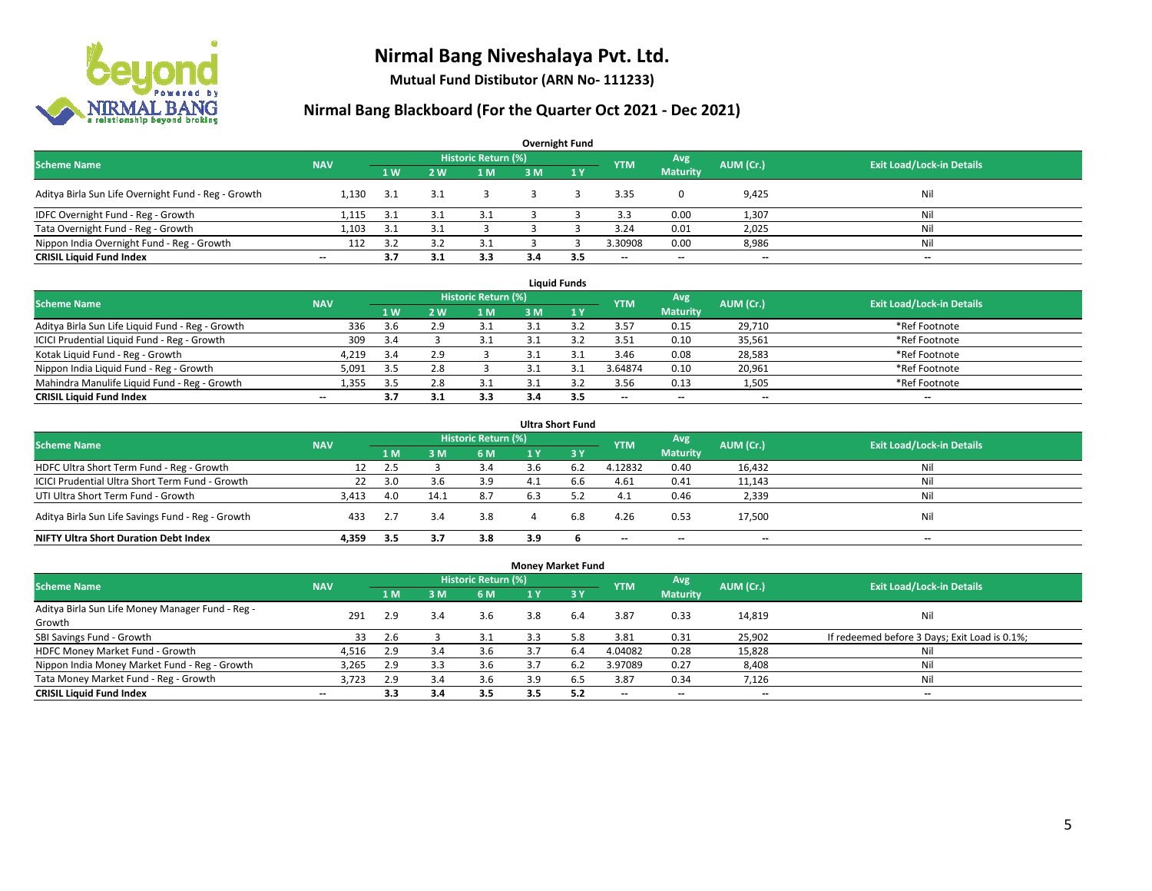

**Mutual Fund Distibutor (ARN No- 111233)**

| <b>Overnight Fund</b>                               |                          |                |     |                            |     |                |            |                          |           |                                  |  |  |  |  |
|-----------------------------------------------------|--------------------------|----------------|-----|----------------------------|-----|----------------|------------|--------------------------|-----------|----------------------------------|--|--|--|--|
| <b>Scheme Name</b>                                  | <b>NAV</b>               |                |     | <b>Historic Return (%)</b> |     |                | <b>YTM</b> | Avg                      | AUM (Cr.) | <b>Exit Load/Lock-in Details</b> |  |  |  |  |
|                                                     |                          | 1 <sub>W</sub> | 2W  | 1 M                        | 3 M | $\sqrt{1}$ $V$ |            | <b>Maturity</b>          |           |                                  |  |  |  |  |
| Aditya Birla Sun Life Overnight Fund - Reg - Growth | 1.130                    | 3.1            | بع. |                            |     |                | 3.35       |                          | 9,425     | Nil                              |  |  |  |  |
| IDFC Overnight Fund - Reg - Growth                  | 1,115                    | 3.1            |     | 3.1                        |     |                | 3.3        | 0.00                     | 1,307     | Nil                              |  |  |  |  |
| Tata Overnight Fund - Reg - Growth                  | 1.103                    | 3.1            |     |                            |     |                | 3.24       | 0.01                     | 2,025     | Nil                              |  |  |  |  |
| Nippon India Overnight Fund - Reg - Growth          | 112                      | 3.2            |     | 3.1                        |     |                | 3.30908    | 0.00                     | 8,986     | Nil                              |  |  |  |  |
| <b>CRISIL Liquid Fund Index</b>                     | $\overline{\phantom{a}}$ | 3.7            | 3.1 | 3.3                        | 3.4 | 3.5            | --         | $\overline{\phantom{a}}$ | $- -$     | $-$                              |  |  |  |  |

| <b>Liquid Funds</b>                              |            |      |     |                     |     |     |                          |                          |           |                                  |  |  |  |
|--------------------------------------------------|------------|------|-----|---------------------|-----|-----|--------------------------|--------------------------|-----------|----------------------------------|--|--|--|
| <b>Scheme Name</b>                               | <b>NAV</b> |      |     | Historic Return (%) |     |     | <b>YTM</b>               | Avg                      | AUM (Cr.) | <b>Exit Load/Lock-in Details</b> |  |  |  |
|                                                  |            | 1W   | 2 W | 1 M                 | зM  |     |                          | <b>Maturity</b>          |           |                                  |  |  |  |
| Aditya Birla Sun Life Liquid Fund - Reg - Growth | 336        | 3.6  | 2.9 |                     |     |     | 3.57                     | 0.15                     | 29,710    | *Ref Footnote                    |  |  |  |
| ICICI Prudential Liquid Fund - Reg - Growth      | 309        | 3.4  |     |                     |     |     | 3.51                     | 0.10                     | 35,561    | *Ref Footnote                    |  |  |  |
| Kotak Liquid Fund - Reg - Growth                 | 4,219      | -3.4 | 2.9 |                     |     |     | 3.46                     | 0.08                     | 28,583    | *Ref Footnote                    |  |  |  |
| Nippon India Liquid Fund - Reg - Growth          | 5,091      | 3.5  | 2.8 |                     |     |     | 3.64874                  | 0.10                     | 20,961    | *Ref Footnote                    |  |  |  |
| Mahindra Manulife Liquid Fund - Reg - Growth     | 1.355      | 3.5  | 2.8 | 3.1                 |     |     | 3.56                     | 0.13                     | 1,505     | *Ref Footnote                    |  |  |  |
| <b>CRISIL Liquid Fund Index</b>                  | $- -$      | 3.7  |     | 3.3                 | 3.4 | 3.5 | $\overline{\phantom{a}}$ | $\overline{\phantom{a}}$ | $- -$     | $\overline{\phantom{a}}$         |  |  |  |

| <b>Ultra Short Fund</b>                           |            |     |      |                            |                |                  |                          |                          |                          |                                  |  |  |  |
|---------------------------------------------------|------------|-----|------|----------------------------|----------------|------------------|--------------------------|--------------------------|--------------------------|----------------------------------|--|--|--|
| <b>Scheme Name</b>                                | <b>NAV</b> |     |      | <b>Historic Return (%)</b> |                |                  | <b>YTM</b>               | Avg                      | AUM (Cr.)                | <b>Exit Load/Lock-in Details</b> |  |  |  |
|                                                   |            | 1 M | ιM   | 6 M                        | 4 <sup>Y</sup> | $\overline{3}$ Y |                          | <b>Maturity</b>          |                          |                                  |  |  |  |
| HDFC Ultra Short Term Fund - Reg - Growth         |            | 2.5 |      | 3.4                        |                | -6.2             | 4.12832                  | 0.40                     | 16,432                   | Nil                              |  |  |  |
| ICICI Prudential Ultra Short Term Fund - Growth   | 22         | 3.0 | 3.b  | 3.9                        |                | b.b              | 4.61                     | 0.41                     | 11,143                   | Nil                              |  |  |  |
| UTI Ultra Short Term Fund - Growth                | 3.413      | 4.0 | 14.1 | 8.7                        | 6.3            |                  | 4.1                      | 0.46                     | 2,339                    | Nil                              |  |  |  |
| Aditya Birla Sun Life Savings Fund - Reg - Growth | 433        | 2.7 | 3.4  | 3.8                        |                | 6.8              | 4.26                     | 0.53                     | 17,500                   | Nil                              |  |  |  |
| <b>NIFTY Ultra Short Duration Debt Index</b>      | 4.359      | 3.5 |      | 3.8                        | 3.9            |                  | $\overline{\phantom{a}}$ | $\overline{\phantom{a}}$ | $\overline{\phantom{a}}$ | $-$                              |  |  |  |

| <b>Money Market Fund</b>                         |                          |     |     |                            |     |                  |                          |                          |                          |                                               |  |  |  |
|--------------------------------------------------|--------------------------|-----|-----|----------------------------|-----|------------------|--------------------------|--------------------------|--------------------------|-----------------------------------------------|--|--|--|
| <b>Scheme Name</b>                               | <b>NAV</b>               |     |     | <b>Historic Return (%)</b> |     |                  | <b>YTM</b>               | Avg                      | AUM (Cr.)                | <b>Exit Load/Lock-in Details</b>              |  |  |  |
|                                                  |                          | 1 M | 3 M | 6 M                        | 1 Y | $\overline{3}$ Y |                          | <b>Maturity</b>          |                          |                                               |  |  |  |
| Aditya Birla Sun Life Money Manager Fund - Reg - | 291                      | 2.9 | 3.4 | 3.6                        | 3.8 | 6.4              | 3.87                     | 0.33                     | 14,819                   | Nil                                           |  |  |  |
| Growth                                           |                          |     |     |                            |     |                  |                          |                          |                          |                                               |  |  |  |
| SBI Savings Fund - Growth                        | 33                       | 2.6 |     | 3.1                        | 3.3 | 5.8              | 3.81                     | 0.31                     | 25,902                   | If redeemed before 3 Days; Exit Load is 0.1%; |  |  |  |
| HDFC Money Market Fund - Growth                  | 4,516                    | 2.9 | 3.4 | 3.6                        |     | 6.4              | 4.04082                  | 0.28                     | 15,828                   | Nil                                           |  |  |  |
| Nippon India Money Market Fund - Reg - Growth    | 3,265                    | 2.9 | 3.3 | 3.6                        |     | 6.2              | 3.97089                  | 0.27                     | 8,408                    | Ni                                            |  |  |  |
| Tata Money Market Fund - Reg - Growth            | 3.723                    | 2.9 | 3.4 | 3.6                        | 3.9 | ხ.5              | 3.87                     | 0.34                     | 7,126                    | Ni                                            |  |  |  |
| <b>CRISIL Liquid Fund Index</b>                  | $\overline{\phantom{a}}$ | 3.3 | 3.4 | 3.5                        | 3.5 | 5.2              | $\overline{\phantom{a}}$ | $\overline{\phantom{a}}$ | $\overline{\phantom{a}}$ | $- -$                                         |  |  |  |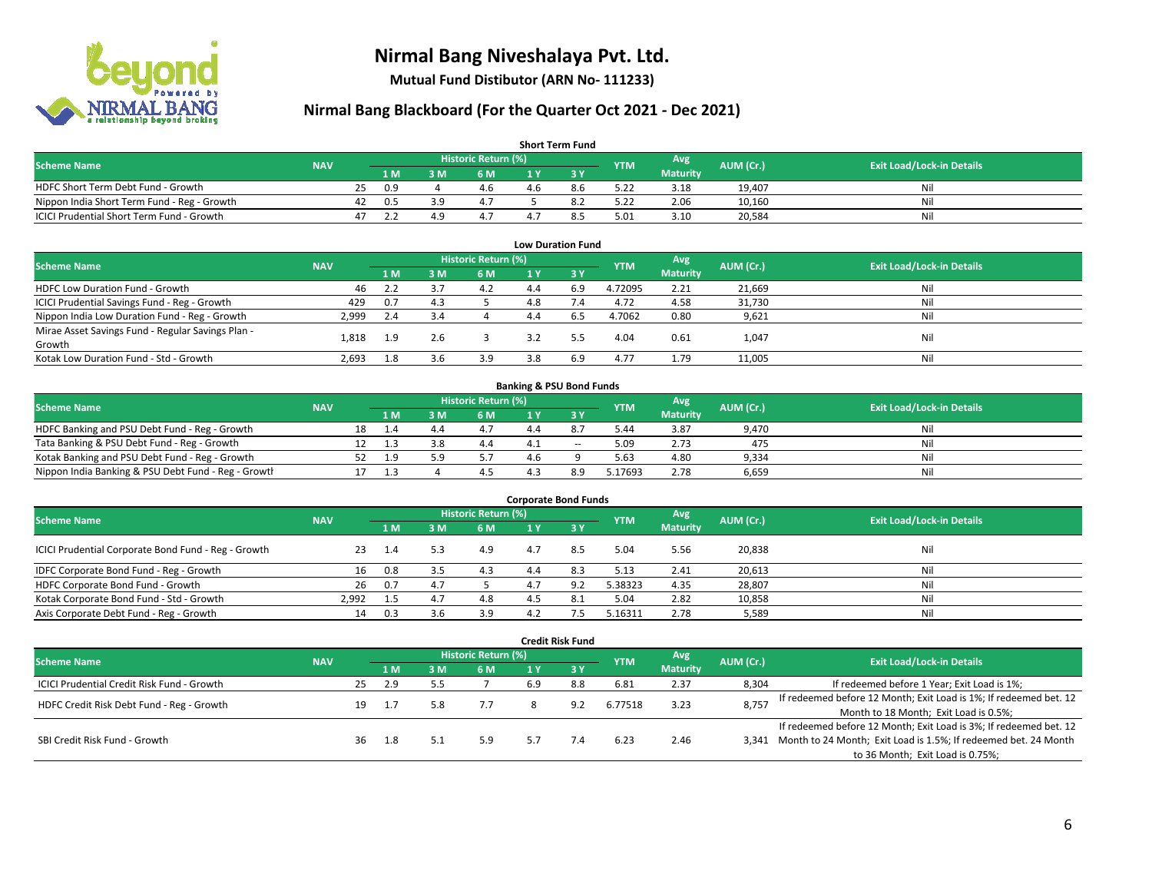

**Mutual Fund Distibutor (ARN No- 111233)**

| <b>Short Term Fund</b>                           |            |    |      |     |                     |     |     |            |                 |           |                                  |  |  |  |
|--------------------------------------------------|------------|----|------|-----|---------------------|-----|-----|------------|-----------------|-----------|----------------------------------|--|--|--|
| <b>Scheme Name</b>                               | <b>NAV</b> |    |      |     | Historic Return (%) |     |     | <b>YTM</b> | Avg             | AUM (Cr.) | <b>Exit Load/Lock-in Details</b> |  |  |  |
|                                                  |            |    | 1 M. | 8 M | 6 M                 |     |     |            | <b>Maturity</b> |           |                                  |  |  |  |
| HDFC Short Term Debt Fund - Growth               |            | 25 | 0.9  |     | 4.6                 | 4.6 | 8.6 | 5.22       | 3.18            | 19.407    | Nil                              |  |  |  |
| Nippon India Short Term Fund - Reg - Growth      |            | 42 | 0.5  | 2 Q | 4.7                 |     |     | 5.22       | 2.06            | 10,160    | Nil                              |  |  |  |
| <b>ICICI Prudential Short Term Fund - Growth</b> |            |    |      |     | 4.1                 |     |     | 5.01       | 3.10            | 20,584    | Nil                              |  |  |  |

| <b>Low Duration Fund</b>                          |            |     |     |                            |     |      |            |                 |           |                                  |  |  |  |
|---------------------------------------------------|------------|-----|-----|----------------------------|-----|------|------------|-----------------|-----------|----------------------------------|--|--|--|
| <b>Scheme Name</b>                                | <b>NAV</b> |     |     | <b>Historic Return (%)</b> |     |      | <b>YTM</b> | Avg             | AUM (Cr.) | <b>Exit Load/Lock-in Details</b> |  |  |  |
|                                                   |            | 1 M | 3 M | 6 M                        |     | -3 Y |            | <b>Maturity</b> |           |                                  |  |  |  |
| HDFC Low Duration Fund - Growth                   | 46         | 2.2 |     | 4.2                        | 4.4 | 6.9  | 4.72095    | 2.21            | 21,669    | Nil                              |  |  |  |
| ICICI Prudential Savings Fund - Reg - Growth      | 429        | 0.7 | 4.3 |                            | 4.8 |      | 4.72       | 4.58            | 31,730    | Nil                              |  |  |  |
| Nippon India Low Duration Fund - Reg - Growth     | 2,999      | 2.4 |     |                            | 4.4 | 6.5  | 4.7062     | 0.80            | 9,621     | Nil                              |  |  |  |
| Mirae Asset Savings Fund - Regular Savings Plan - | 1.818      |     | 2.6 |                            | 3.2 |      | 4.04       | 0.61            |           | Nil                              |  |  |  |
| Growth                                            |            | 1.9 |     |                            |     |      |            |                 | 1,047     |                                  |  |  |  |
| Kotak Low Duration Fund - Std - Growth            | 2,693      | 1.8 |     | 3.9                        | 3.8 | 6.9  | 4.77       | 1.79            | 11,005    | Nil                              |  |  |  |

| <b>Banking &amp; PSU Bond Funds</b>                 |            |  |      |     |                     |  |       |            |                 |           |                                  |  |  |
|-----------------------------------------------------|------------|--|------|-----|---------------------|--|-------|------------|-----------------|-----------|----------------------------------|--|--|
| <b>Scheme Name</b>                                  | <b>NAV</b> |  |      |     | Historic Return (%) |  |       | <b>YTM</b> | Avg             | AUM (Cr.) | <b>Exit Load/Lock-in Details</b> |  |  |
|                                                     |            |  | 4 M. | ያ M | 6 M                 |  |       |            | <b>Maturity</b> |           |                                  |  |  |
| HDFC Banking and PSU Debt Fund - Reg - Growth       |            |  | 1.4  | 4.4 |                     |  |       | 5.44       | 3.87            | 9.470     | Nil                              |  |  |
| Tata Banking & PSU Debt Fund - Reg - Growth         |            |  |      |     | 4.4                 |  | $- -$ | 5.09       | 2.73            | 475       | Nil                              |  |  |
| Kotak Banking and PSU Debt Fund - Reg - Growth      |            |  | 1.9  | 50  |                     |  |       | 5.63       | 4.80            | 9.334     | Nil                              |  |  |
| Nippon India Banking & PSU Debt Fund - Reg - Growth |            |  |      |     |                     |  | R O   | .17693     | 2.78            | 6,659     | Nil                              |  |  |

| <b>Corporate Bond Funds</b>                         |            |      |     |                     |     |      |            |                 |           |                                  |  |
|-----------------------------------------------------|------------|------|-----|---------------------|-----|------|------------|-----------------|-----------|----------------------------------|--|
| <b>Scheme Name</b>                                  | <b>NAV</b> |      |     | Historic Return (%) |     |      | <b>YTM</b> | Avg             | AUM (Cr.) | <b>Exit Load/Lock-in Details</b> |  |
|                                                     |            | 1 M  | з м | 6 M                 |     | -3 Y |            | <b>Maturity</b> |           |                                  |  |
| ICICI Prudential Corporate Bond Fund - Reg - Growth | 23         | -1.4 | 5.3 | 4.9                 | 4.7 | 8.5  | 5.04       | 5.56            | 20,838    | Nil                              |  |
| IDFC Corporate Bond Fund - Reg - Growth             | 16         | 0.8  |     | 4.3                 | 4.4 | 8.3  | 5.13       | 2.41            | 20,613    | Nil                              |  |
| HDFC Corporate Bond Fund - Growth                   | 26         | 0.7  |     |                     | 4.7 |      | 5.38323    | 4.35            | 28,807    | Nil                              |  |
| Kotak Corporate Bond Fund - Std - Growth            | 2.992      | 1.5  |     | 4.8                 |     |      | 5.04       | 2.82            | 10,858    | Nil                              |  |
| Axis Corporate Debt Fund - Reg - Growth             | 14         | 0.3  |     | 3.9                 |     |      | 5.16311    | 2.78            | 5,589     | Nil                              |  |

|                                                   |            |    |     |                               |                            |                                       | <b>Credit Risk Fund</b> |            |                        |           |                                                                       |
|---------------------------------------------------|------------|----|-----|-------------------------------|----------------------------|---------------------------------------|-------------------------|------------|------------------------|-----------|-----------------------------------------------------------------------|
| <b>Scheme Name</b>                                | <b>NAV</b> |    |     |                               | <b>Historic Return (%)</b> |                                       |                         | <b>YTM</b> | Avg<br><b>Maturity</b> | AUM (Cr.) | <b>Exit Load/Lock-in Details</b>                                      |
|                                                   |            |    | 1 M | ١M                            | 6 M                        |                                       | '3V                     |            |                        |           |                                                                       |
| <b>ICICI Prudential Credit Risk Fund - Growth</b> |            | 25 | 2.9 |                               |                            | 6.9                                   | 8.8                     | 6.81       | 2.37                   | 8,304     | If redeemed before 1 Year; Exit Load is 1%;                           |
| HDFC Credit Risk Debt Fund - Reg - Growth         |            | 19 |     | 3.23<br>6.77518<br>7.7<br>9.2 |                            |                                       |                         |            |                        | 8,757     | If redeemed before 12 Month; Exit Load is 1%; If redeemed bet. 12     |
|                                                   |            |    |     |                               |                            | Month to 18 Month; Exit Load is 0.5%; |                         |            |                        |           |                                                                       |
|                                                   |            |    |     |                               |                            |                                       |                         |            |                        |           | If redeemed before 12 Month; Exit Load is 3%; If redeemed bet. 12     |
| SBI Credit Risk Fund - Growth                     |            | 36 | 1.8 |                               | 5.9                        | 5.7                                   | 7.4                     | 6.23       | 2.46                   |           | 3,341 Month to 24 Month; Exit Load is 1.5%; If redeemed bet. 24 Month |
|                                                   |            |    |     |                               |                            |                                       |                         |            |                        |           | to 36 Month; Exit Load is 0.75%;                                      |